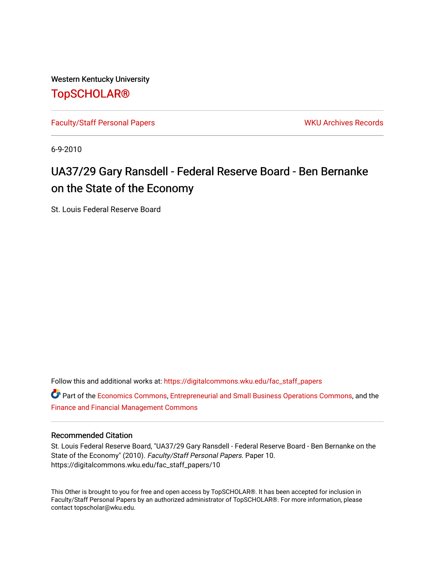Western Kentucky University [TopSCHOLAR®](https://digitalcommons.wku.edu/) 

[Faculty/Staff Personal Papers](https://digitalcommons.wku.edu/fac_staff_papers) National Communication of the WKU Archives Records

6-9-2010

# UA37/29 Gary Ransdell - Federal Reserve Board - Ben Bernanke on the State of the Economy

St. Louis Federal Reserve Board

Follow this and additional works at: [https://digitalcommons.wku.edu/fac\\_staff\\_papers](https://digitalcommons.wku.edu/fac_staff_papers?utm_source=digitalcommons.wku.edu%2Ffac_staff_papers%2F10&utm_medium=PDF&utm_campaign=PDFCoverPages) 

**C** Part of the [Economics Commons](http://network.bepress.com/hgg/discipline/340?utm_source=digitalcommons.wku.edu%2Ffac_staff_papers%2F10&utm_medium=PDF&utm_campaign=PDFCoverPages), [Entrepreneurial and Small Business Operations Commons,](http://network.bepress.com/hgg/discipline/630?utm_source=digitalcommons.wku.edu%2Ffac_staff_papers%2F10&utm_medium=PDF&utm_campaign=PDFCoverPages) and the [Finance and Financial Management Commons](http://network.bepress.com/hgg/discipline/631?utm_source=digitalcommons.wku.edu%2Ffac_staff_papers%2F10&utm_medium=PDF&utm_campaign=PDFCoverPages)

## Recommended Citation

St. Louis Federal Reserve Board, "UA37/29 Gary Ransdell - Federal Reserve Board - Ben Bernanke on the State of the Economy" (2010). Faculty/Staff Personal Papers. Paper 10. https://digitalcommons.wku.edu/fac\_staff\_papers/10

This Other is brought to you for free and open access by TopSCHOLAR®. It has been accepted for inclusion in Faculty/Staff Personal Papers by an authorized administrator of TopSCHOLAR®. For more information, please contact topscholar@wku.edu.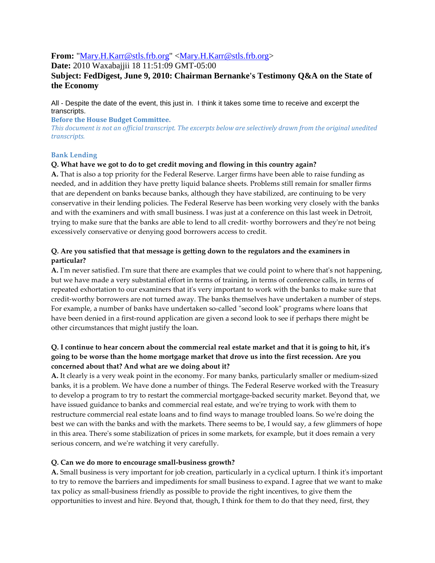# **From:** "Mary.H.Karr@stls.frb.org" <Mary.H.Karr@stls.frb.org>

**Date:** 2010 Waxabajjii 18 11:51:09 GMT-05:00

# **Subject: FedDigest, June 9, 2010: Chairman Bernanke's Testimony Q&A on the State of the Economy**

All - Despite the date of the event, this just in. I think it takes some time to receive and excerpt the transcripts.

Before the House Budget Committee.

This document is not an official transcript. The excerpts below are selectively drawn from the original unedited transcripts.

## Bank Lending

## Q. What have we got to do to get credit moving and flowing in this country again?

A. That is also a top priority for the Federal Reserve. Larger firms have been able to raise funding as needed, and in addition they have pretty liquid balance sheets. Problems still remain for smaller firms that are dependent on banks because banks, although they have stabilized, are continuing to be very conservative in their lending policies. The Federal Reserve has been working very closely with the banks and with the examiners and with small business. I was just at a conference on this last week in Detroit, trying to make sure that the banks are able to lend to all credit- worthy borrowers and they're not being excessively conservative or denying good borrowers access to credit.

## Q. Are you satisfied that that message is getting down to the regulators and the examiners in particular?

A. I'm never satisfied. I'm sure that there are examples that we could point to where that's not happening, but we have made a very substantial effort in terms of training, in terms of conference calls, in terms of repeated exhortation to our examiners that it's very important to work with the banks to make sure that credit-worthy borrowers are not turned away. The banks themselves have undertaken a number of steps. For example, a number of banks have undertaken so-called "second look" programs where loans that have been denied in a first-round application are given a second look to see if perhaps there might be other circumstances that might justify the loan.

# Q. I continue to hear concern about the commercial real estate market and that it is going to hit, it's going to be worse than the home mortgage market that drove us into the first recession. Are you concerned about that? And what are we doing about it?

A. It clearly is a very weak point in the economy. For many banks, particularly smaller or medium-sized banks, it is a problem. We have done a number of things. The Federal Reserve worked with the Treasury to develop a program to try to restart the commercial mortgage-backed security market. Beyond that, we have issued guidance to banks and commercial real estate, and we're trying to work with them to restructure commercial real estate loans and to find ways to manage troubled loans. So we're doing the best we can with the banks and with the markets. There seems to be, I would say, a few glimmers of hope in this area. There's some stabilization of prices in some markets, for example, but it does remain a very serious concern, and we're watching it very carefully.

## Q. Can we do more to encourage small-business growth?

A. Small business is very important for job creation, particularly in a cyclical upturn. I think it's important to try to remove the barriers and impediments for small business to expand. I agree that we want to make tax policy as small-business friendly as possible to provide the right incentives, to give them the opportunities to invest and hire. Beyond that, though, I think for them to do that they need, first, they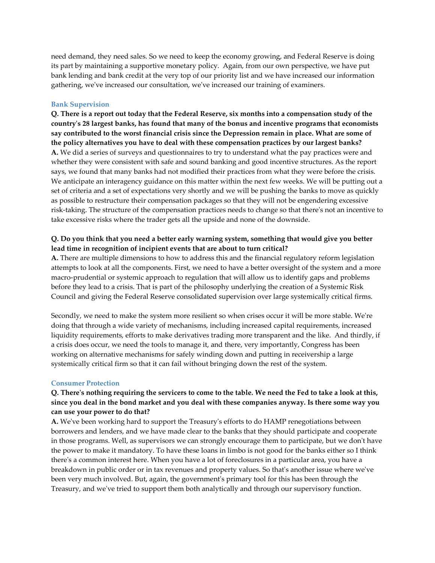need demand, they need sales. So we need to keep the economy growing, and Federal Reserve is doing its part by maintaining a supportive monetary policy. Again, from our own perspective, we have put bank lending and bank credit at the very top of our priority list and we have increased our information gathering, we've increased our consultation, we've increased our training of examiners.

#### Bank Supervision

Q. There is a report out today that the Federal Reserve, six months into a compensation study of the country's 28 largest banks, has found that many of the bonus and incentive programs that economists say contributed to the worst financial crisis since the Depression remain in place. What are some of the policy alternatives you have to deal with these compensation practices by our largest banks? A. We did a series of surveys and questionnaires to try to understand what the pay practices were and whether they were consistent with safe and sound banking and good incentive structures. As the report says, we found that many banks had not modified their practices from what they were before the crisis. We anticipate an interagency guidance on this matter within the next few weeks. We will be putting out a set of criteria and a set of expectations very shortly and we will be pushing the banks to move as quickly as possible to restructure their compensation packages so that they will not be engendering excessive risk-taking. The structure of the compensation practices needs to change so that there's not an incentive to take excessive risks where the trader gets all the upside and none of the downside.

## Q. Do you think that you need a better early warning system, something that would give you better lead time in recognition of incipient events that are about to turn critical?

A. There are multiple dimensions to how to address this and the financial regulatory reform legislation attempts to look at all the components. First, we need to have a better oversight of the system and a more macro-prudential or systemic approach to regulation that will allow us to identify gaps and problems before they lead to a crisis. That is part of the philosophy underlying the creation of a Systemic Risk Council and giving the Federal Reserve consolidated supervision over large systemically critical firms.

Secondly, we need to make the system more resilient so when crises occur it will be more stable. We're doing that through a wide variety of mechanisms, including increased capital requirements, increased liquidity requirements, efforts to make derivatives trading more transparent and the like. And thirdly, if a crisis does occur, we need the tools to manage it, and there, very importantly, Congress has been working on alternative mechanisms for safely winding down and putting in receivership a large systemically critical firm so that it can fail without bringing down the rest of the system.

#### Consumer Protection

## Q. There's nothing requiring the servicers to come to the table. We need the Fed to take a look at this, since you deal in the bond market and you deal with these companies anyway. Is there some way you can use your power to do that?

A. We've been working hard to support the Treasury's efforts to do HAMP renegotiations between borrowers and lenders, and we have made clear to the banks that they should participate and cooperate in those programs. Well, as supervisors we can strongly encourage them to participate, but we don't have the power to make it mandatory. To have these loans in limbo is not good for the banks either so I think there's a common interest here. When you have a lot of foreclosures in a particular area, you have a breakdown in public order or in tax revenues and property values. So that's another issue where we've been very much involved. But, again, the government's primary tool for this has been through the Treasury, and we've tried to support them both analytically and through our supervisory function.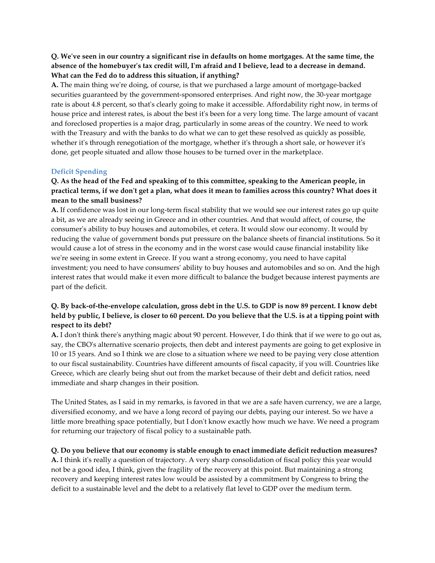## Q. We've seen in our country a significant rise in defaults on home mortgages. At the same time, the absence of the homebuyer's tax credit will, I'm afraid and I believe, lead to a decrease in demand. What can the Fed do to address this situation, if anything?

A. The main thing we're doing, of course, is that we purchased a large amount of mortgage-backed securities guaranteed by the government-sponsored enterprises. And right now, the 30-year mortgage rate is about 4.8 percent, so that's clearly going to make it accessible. Affordability right now, in terms of house price and interest rates, is about the best it's been for a very long time. The large amount of vacant and foreclosed properties is a major drag, particularly in some areas of the country. We need to work with the Treasury and with the banks to do what we can to get these resolved as quickly as possible, whether it's through renegotiation of the mortgage, whether it's through a short sale, or however it's done, get people situated and allow those houses to be turned over in the marketplace.

## Deficit Spending

## Q. As the head of the Fed and speaking of to this committee, speaking to the American people, in practical terms, if we don't get a plan, what does it mean to families across this country? What does it mean to the small business?

A. If confidence was lost in our long-term fiscal stability that we would see our interest rates go up quite a bit, as we are already seeing in Greece and in other countries. And that would affect, of course, the consumer's ability to buy houses and automobiles, et cetera. It would slow our economy. It would by reducing the value of government bonds put pressure on the balance sheets of financial institutions. So it would cause a lot of stress in the economy and in the worst case would cause financial instability like we're seeing in some extent in Greece. If you want a strong economy, you need to have capital investment; you need to have consumers' ability to buy houses and automobiles and so on. And the high interest rates that would make it even more difficult to balance the budget because interest payments are part of the deficit.

# Q. By back-of-the-envelope calculation, gross debt in the U.S. to GDP is now 89 percent. I know debt held by public, I believe, is closer to 60 percent. Do you believe that the U.S. is at a tipping point with respect to its debt?

A. I don't think there's anything magic about 90 percent. However, I do think that if we were to go out as, say, the CBO's alternative scenario projects, then debt and interest payments are going to get explosive in 10 or 15 years. And so I think we are close to a situation where we need to be paying very close attention to our fiscal sustainability. Countries have different amounts of fiscal capacity, if you will. Countries like Greece, which are clearly being shut out from the market because of their debt and deficit ratios, need immediate and sharp changes in their position.

The United States, as I said in my remarks, is favored in that we are a safe haven currency, we are a large, diversified economy, and we have a long record of paying our debts, paying our interest. So we have a little more breathing space potentially, but I don't know exactly how much we have. We need a program for returning our trajectory of fiscal policy to a sustainable path.

## Q. Do you believe that our economy is stable enough to enact immediate deficit reduction measures?

A. I think it's really a question of trajectory. A very sharp consolidation of fiscal policy this year would not be a good idea, I think, given the fragility of the recovery at this point. But maintaining a strong recovery and keeping interest rates low would be assisted by a commitment by Congress to bring the deficit to a sustainable level and the debt to a relatively flat level to GDP over the medium term.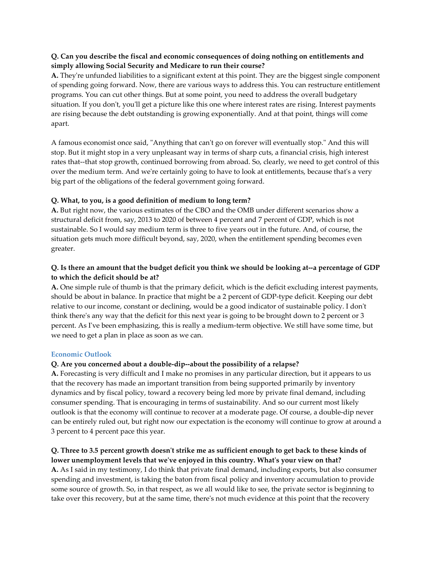## Q. Can you describe the fiscal and economic consequences of doing nothing on entitlements and simply allowing Social Security and Medicare to run their course?

A. They're unfunded liabilities to a significant extent at this point. They are the biggest single component of spending going forward. Now, there are various ways to address this. You can restructure entitlement programs. You can cut other things. But at some point, you need to address the overall budgetary situation. If you don't, you'll get a picture like this one where interest rates are rising. Interest payments are rising because the debt outstanding is growing exponentially. And at that point, things will come apart.

A famous economist once said, "Anything that can't go on forever will eventually stop." And this will stop. But it might stop in a very unpleasant way in terms of sharp cuts, a financial crisis, high interest rates that--that stop growth, continued borrowing from abroad. So, clearly, we need to get control of this over the medium term. And we're certainly going to have to look at entitlements, because that's a very big part of the obligations of the federal government going forward.

## Q. What, to you, is a good definition of medium to long term?

A. But right now, the various estimates of the CBO and the OMB under different scenarios show a structural deficit from, say, 2013 to 2020 of between 4 percent and 7 percent of GDP, which is not sustainable. So I would say medium term is three to five years out in the future. And, of course, the situation gets much more difficult beyond, say, 2020, when the entitlement spending becomes even greater.

# Q. Is there an amount that the budget deficit you think we should be looking at--a percentage of GDP to which the deficit should be at?

A. One simple rule of thumb is that the primary deficit, which is the deficit excluding interest payments, should be about in balance. In practice that might be a 2 percent of GDP-type deficit. Keeping our debt relative to our income, constant or declining, would be a good indicator of sustainable policy. I don't think there's any way that the deficit for this next year is going to be brought down to 2 percent or 3 percent. As I've been emphasizing, this is really a medium-term objective. We still have some time, but we need to get a plan in place as soon as we can.

## Economic Outlook

## Q. Are you concerned about a double-dip--about the possibility of a relapse?

A. Forecasting is very difficult and I make no promises in any particular direction, but it appears to us that the recovery has made an important transition from being supported primarily by inventory dynamics and by fiscal policy, toward a recovery being led more by private final demand, including consumer spending. That is encouraging in terms of sustainability. And so our current most likely outlook is that the economy will continue to recover at a moderate page. Of course, a double-dip never can be entirely ruled out, but right now our expectation is the economy will continue to grow at around a 3 percent to 4 percent pace this year.

## Q. Three to 3.5 percent growth doesn't strike me as sufficient enough to get back to these kinds of lower unemployment levels that we've enjoyed in this country. What's your view on that?

A. As I said in my testimony, I do think that private final demand, including exports, but also consumer spending and investment, is taking the baton from fiscal policy and inventory accumulation to provide some source of growth. So, in that respect, as we all would like to see, the private sector is beginning to take over this recovery, but at the same time, there's not much evidence at this point that the recovery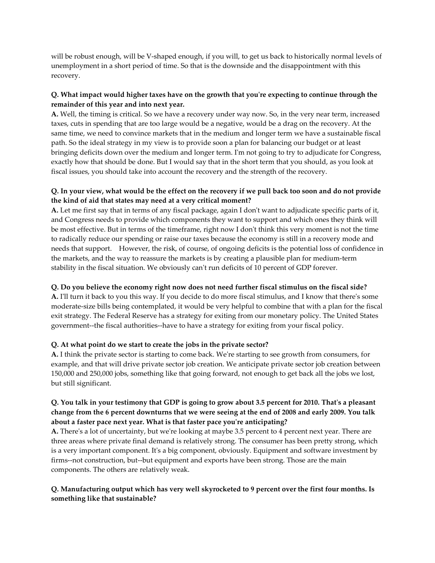will be robust enough, will be V-shaped enough, if you will, to get us back to historically normal levels of unemployment in a short period of time. So that is the downside and the disappointment with this recovery.

## Q. What impact would higher taxes have on the growth that you're expecting to continue through the remainder of this year and into next year.

A. Well, the timing is critical. So we have a recovery under way now. So, in the very near term, increased taxes, cuts in spending that are too large would be a negative, would be a drag on the recovery. At the same time, we need to convince markets that in the medium and longer term we have a sustainable fiscal path. So the ideal strategy in my view is to provide soon a plan for balancing our budget or at least bringing deficits down over the medium and longer term. I'm not going to try to adjudicate for Congress, exactly how that should be done. But I would say that in the short term that you should, as you look at fiscal issues, you should take into account the recovery and the strength of the recovery.

# Q. In your view, what would be the effect on the recovery if we pull back too soon and do not provide the kind of aid that states may need at a very critical moment?

A. Let me first say that in terms of any fiscal package, again I don't want to adjudicate specific parts of it, and Congress needs to provide which components they want to support and which ones they think will be most effective. But in terms of the timeframe, right now I don't think this very moment is not the time to radically reduce our spending or raise our taxes because the economy is still in a recovery mode and needs that support. However, the risk, of course, of ongoing deficits is the potential loss of confidence in the markets, and the way to reassure the markets is by creating a plausible plan for medium-term stability in the fiscal situation. We obviously can't run deficits of 10 percent of GDP forever.

# Q. Do you believe the economy right now does not need further fiscal stimulus on the fiscal side?

A. I'll turn it back to you this way. If you decide to do more fiscal stimulus, and I know that there's some moderate-size bills being contemplated, it would be very helpful to combine that with a plan for the fiscal exit strategy. The Federal Reserve has a strategy for exiting from our monetary policy. The United States government--the fiscal authorities--have to have a strategy for exiting from your fiscal policy.

## Q. At what point do we start to create the jobs in the private sector?

A. I think the private sector is starting to come back. We're starting to see growth from consumers, for example, and that will drive private sector job creation. We anticipate private sector job creation between 150,000 and 250,000 jobs, something like that going forward, not enough to get back all the jobs we lost, but still significant.

# Q. You talk in your testimony that GDP is going to grow about 3.5 percent for 2010. That's a pleasant change from the 6 percent downturns that we were seeing at the end of 2008 and early 2009. You talk about a faster pace next year. What is that faster pace you're anticipating?

A. There's a lot of uncertainty, but we're looking at maybe 3.5 percent to 4 percent next year. There are three areas where private final demand is relatively strong. The consumer has been pretty strong, which is a very important component. It's a big component, obviously. Equipment and software investment by firms--not construction, but--but equipment and exports have been strong. Those are the main components. The others are relatively weak.

# Q. Manufacturing output which has very well skyrocketed to 9 percent over the first four months. Is something like that sustainable?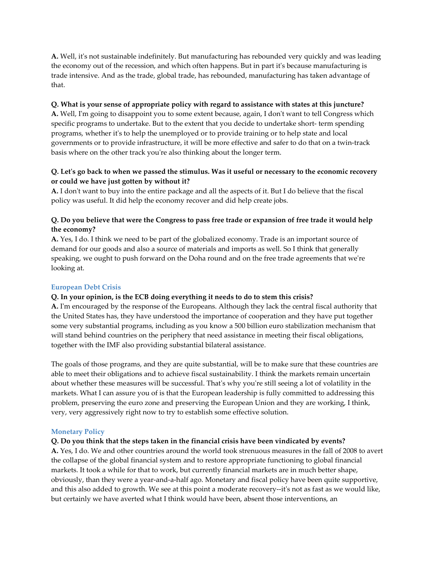A. Well, it's not sustainable indefinitely. But manufacturing has rebounded very quickly and was leading the economy out of the recession, and which often happens. But in part it's because manufacturing is trade intensive. And as the trade, global trade, has rebounded, manufacturing has taken advantage of that.

#### Q. What is your sense of appropriate policy with regard to assistance with states at this juncture?

A. Well, I'm going to disappoint you to some extent because, again, I don't want to tell Congress which specific programs to undertake. But to the extent that you decide to undertake short- term spending programs, whether it's to help the unemployed or to provide training or to help state and local governments or to provide infrastructure, it will be more effective and safer to do that on a twin-track basis where on the other track you're also thinking about the longer term.

## Q. Let's go back to when we passed the stimulus. Was it useful or necessary to the economic recovery or could we have just gotten by without it?

A. I don't want to buy into the entire package and all the aspects of it. But I do believe that the fiscal policy was useful. It did help the economy recover and did help create jobs.

## Q. Do you believe that were the Congress to pass free trade or expansion of free trade it would help the economy?

A. Yes, I do. I think we need to be part of the globalized economy. Trade is an important source of demand for our goods and also a source of materials and imports as well. So I think that generally speaking, we ought to push forward on the Doha round and on the free trade agreements that we're looking at.

## European Debt Crisis

## Q. In your opinion, is the ECB doing everything it needs to do to stem this crisis?

A. I'm encouraged by the response of the Europeans. Although they lack the central fiscal authority that the United States has, they have understood the importance of cooperation and they have put together some very substantial programs, including as you know a 500 billion euro stabilization mechanism that will stand behind countries on the periphery that need assistance in meeting their fiscal obligations, together with the IMF also providing substantial bilateral assistance.

The goals of those programs, and they are quite substantial, will be to make sure that these countries are able to meet their obligations and to achieve fiscal sustainability. I think the markets remain uncertain about whether these measures will be successful. That's why you're still seeing a lot of volatility in the markets. What I can assure you of is that the European leadership is fully committed to addressing this problem, preserving the euro zone and preserving the European Union and they are working, I think, very, very aggressively right now to try to establish some effective solution.

#### Monetary Policy

#### Q. Do you think that the steps taken in the financial crisis have been vindicated by events?

A. Yes, I do. We and other countries around the world took strenuous measures in the fall of 2008 to avert the collapse of the global financial system and to restore appropriate functioning to global financial markets. It took a while for that to work, but currently financial markets are in much better shape, obviously, than they were a year-and-a-half ago. Monetary and fiscal policy have been quite supportive, and this also added to growth. We see at this point a moderate recovery--it's not as fast as we would like, but certainly we have averted what I think would have been, absent those interventions, an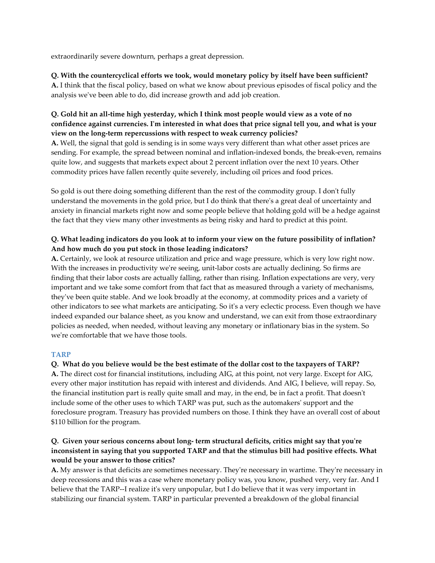extraordinarily severe downturn, perhaps a great depression.

# Q. With the countercyclical efforts we took, would monetary policy by itself have been sufficient?

A. I think that the fiscal policy, based on what we know about previous episodes of fiscal policy and the analysis we've been able to do, did increase growth and add job creation.

## Q. Gold hit an all-time high yesterday, which I think most people would view as a vote of no confidence against currencies. I'm interested in what does that price signal tell you, and what is your view on the long-term repercussions with respect to weak currency policies?

A. Well, the signal that gold is sending is in some ways very different than what other asset prices are sending. For example, the spread between nominal and inflation-indexed bonds, the break-even, remains quite low, and suggests that markets expect about 2 percent inflation over the next 10 years. Other commodity prices have fallen recently quite severely, including oil prices and food prices.

So gold is out there doing something different than the rest of the commodity group. I don't fully understand the movements in the gold price, but I do think that there's a great deal of uncertainty and anxiety in financial markets right now and some people believe that holding gold will be a hedge against the fact that they view many other investments as being risky and hard to predict at this point.

# Q. What leading indicators do you look at to inform your view on the future possibility of inflation? And how much do you put stock in those leading indicators?

A. Certainly, we look at resource utilization and price and wage pressure, which is very low right now. With the increases in productivity we're seeing, unit-labor costs are actually declining. So firms are finding that their labor costs are actually falling, rather than rising. Inflation expectations are very, very important and we take some comfort from that fact that as measured through a variety of mechanisms, they've been quite stable. And we look broadly at the economy, at commodity prices and a variety of other indicators to see what markets are anticipating. So it's a very eclectic process. Even though we have indeed expanded our balance sheet, as you know and understand, we can exit from those extraordinary policies as needed, when needed, without leaving any monetary or inflationary bias in the system. So we're comfortable that we have those tools.

# TARP

## Q. What do you believe would be the best estimate of the dollar cost to the taxpayers of TARP?

A. The direct cost for financial institutions, including AIG, at this point, not very large. Except for AIG, every other major institution has repaid with interest and dividends. And AIG, I believe, will repay. So, the financial institution part is really quite small and may, in the end, be in fact a profit. That doesn't include some of the other uses to which TARP was put, such as the automakers' support and the foreclosure program. Treasury has provided numbers on those. I think they have an overall cost of about \$110 billion for the program.

# Q. Given your serious concerns about long- term structural deficits, critics might say that you're inconsistent in saying that you supported TARP and that the stimulus bill had positive effects. What would be your answer to those critics?

A. My answer is that deficits are sometimes necessary. They're necessary in wartime. They're necessary in deep recessions and this was a case where monetary policy was, you know, pushed very, very far. And I believe that the TARP--I realize it's very unpopular, but I do believe that it was very important in stabilizing our financial system. TARP in particular prevented a breakdown of the global financial